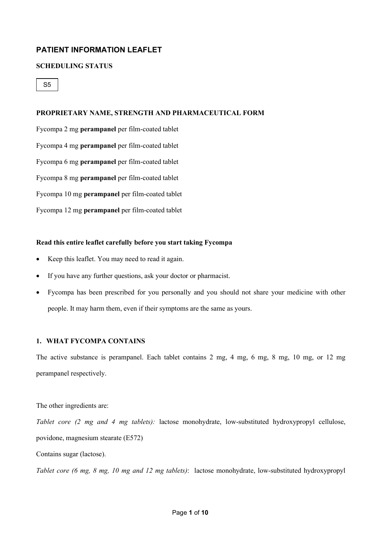# **PATIENT INFORMATION LEAFLET**

## **SCHEDULING STATUS**

S5

#### **PROPRIETARY NAME, STRENGTH AND PHARMACEUTICAL FORM**

Fycompa 2 mg **perampanel** per film-coated tablet Fycompa 4 mg **perampanel** per film-coated tablet Fycompa 6 mg **perampanel** per film-coated tablet Fycompa 8 mg **perampanel** per film-coated tablet Fycompa 10 mg **perampanel** per film-coated tablet Fycompa 12 mg **perampanel** per film-coated tablet

## **Read this entire leaflet carefully before you start taking Fycompa**

- Keep this leaflet. You may need to read it again.
- If you have any further questions, ask your doctor or pharmacist.
- Fycompa has been prescribed for you personally and you should not share your medicine with other people. It may harm them, even if their symptoms are the same as yours.

#### **1. WHAT FYCOMPA CONTAINS**

The active substance is perampanel. Each tablet contains 2 mg, 4 mg, 6 mg, 8 mg, 10 mg, or 12 mg perampanel respectively.

The other ingredients are:

*Tablet core (2 mg and 4 mg tablets):* lactose monohydrate, low-substituted hydroxypropyl cellulose, povidone, magnesium stearate (E572)

Contains sugar (lactose).

*Tablet core (6 mg, 8 mg, 10 mg and 12 mg tablets)*: lactose monohydrate, low-substituted hydroxypropyl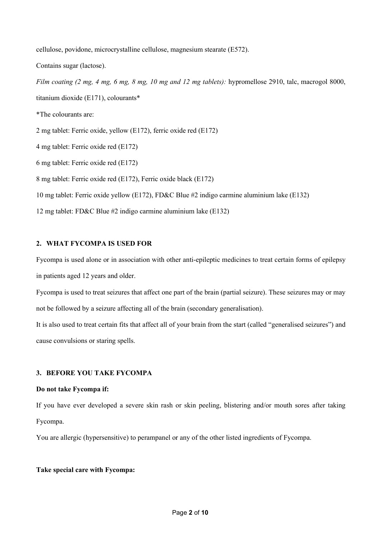cellulose, povidone, microcrystalline cellulose, magnesium stearate (E572).

Contains sugar (lactose).

*Film coating (2 mg, 4 mg, 6 mg, 8 mg, 10 mg and 12 mg tablets):* hypromellose 2910, talc, macrogol 8000, titanium dioxide (E171), colourants\*

\*The colourants are:

2 mg tablet: Ferric oxide, yellow (E172), ferric oxide red (E172)

4 mg tablet: Ferric oxide red (E172)

6 mg tablet: Ferric oxide red (E172)

8 mg tablet: Ferric oxide red (E172), Ferric oxide black (E172)

10 mg tablet: Ferric oxide yellow (E172), FD&C Blue #2 indigo carmine aluminium lake (E132)

12 mg tablet: FD&C Blue #2 indigo carmine aluminium lake (E132)

## **2. WHAT FYCOMPA IS USED FOR**

Fycompa is used alone or in association with other anti-epileptic medicines to treat certain forms of epilepsy in patients aged 12 years and older.

Fycompa is used to treat seizures that affect one part of the brain (partial seizure). These seizures may or may not be followed by a seizure affecting all of the brain (secondary generalisation).

It is also used to treat certain fits that affect all of your brain from the start (called "generalised seizures") and cause convulsions or staring spells.

## **3. BEFORE YOU TAKE FYCOMPA**

## **Do not take Fycompa if:**

If you have ever developed a severe skin rash or skin peeling, blistering and/or mouth sores after taking Fycompa.

You are allergic (hypersensitive) to perampanel or any of the other listed ingredients of Fycompa.

## **Take special care with Fycompa:**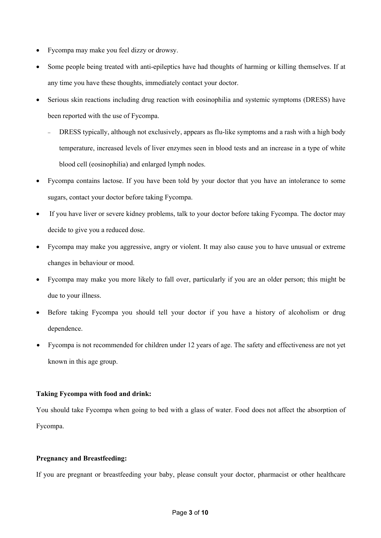- Fycompa may make you feel dizzy or drowsy.
- Some people being treated with anti-epileptics have had thoughts of harming or killing themselves. If at any time you have these thoughts, immediately contact your doctor.
- Serious skin reactions including drug reaction with eosinophilia and systemic symptoms (DRESS) have been reported with the use of Fycompa.
	- DRESS typically, although not exclusively, appears as flu-like symptoms and a rash with a high body temperature, increased levels of liver enzymes seen in blood tests and an increase in a type of white blood cell (eosinophilia) and enlarged lymph nodes.
- Fycompa contains lactose. If you have been told by your doctor that you have an intolerance to some sugars, contact your doctor before taking Fycompa.
- If you have liver or severe kidney problems, talk to your doctor before taking Fycompa. The doctor may decide to give you a reduced dose.
- Fycompa may make you aggressive, angry or violent. It may also cause you to have unusual or extreme changes in behaviour or mood.
- Fycompa may make you more likely to fall over, particularly if you are an older person; this might be due to your illness.
- Before taking Fycompa you should tell your doctor if you have a history of alcoholism or drug dependence.
- Fycompa is not recommended for children under 12 years of age. The safety and effectiveness are not yet known in this age group.

## **Taking Fycompa with food and drink:**

You should take Fycompa when going to bed with a glass of water. Food does not affect the absorption of Fycompa.

## **Pregnancy and Breastfeeding:**

If you are pregnant or breastfeeding your baby, please consult your doctor, pharmacist or other healthcare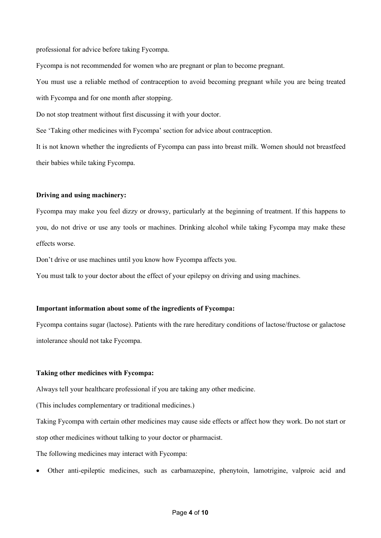professional for advice before taking Fycompa.

Fycompa is not recommended for women who are pregnant or plan to become pregnant.

You must use a reliable method of contraception to avoid becoming pregnant while you are being treated with Fycompa and for one month after stopping.

Do not stop treatment without first discussing it with your doctor.

See 'Taking other medicines with Fycompa' section for advice about contraception.

It is not known whether the ingredients of Fycompa can pass into breast milk. Women should not breastfeed their babies while taking Fycompa.

#### **Driving and using machinery:**

Fycompa may make you feel dizzy or drowsy, particularly at the beginning of treatment. If this happens to you, do not drive or use any tools or machines. Drinking alcohol while taking Fycompa may make these effects worse.

Don't drive or use machines until you know how Fycompa affects you.

You must talk to your doctor about the effect of your epilepsy on driving and using machines.

#### **Important information about some of the ingredients of Fycompa:**

Fycompa contains sugar (lactose). Patients with the rare hereditary conditions of lactose/fructose or galactose intolerance should not take Fycompa.

#### **Taking other medicines with Fycompa:**

Always tell your healthcare professional if you are taking any other medicine.

(This includes complementary or traditional medicines.)

Taking Fycompa with certain other medicines may cause side effects or affect how they work. Do not start or stop other medicines without talking to your doctor or pharmacist.

The following medicines may interact with Fycompa:

• Other anti-epileptic medicines, such as carbamazepine, phenytoin, lamotrigine, valproic acid and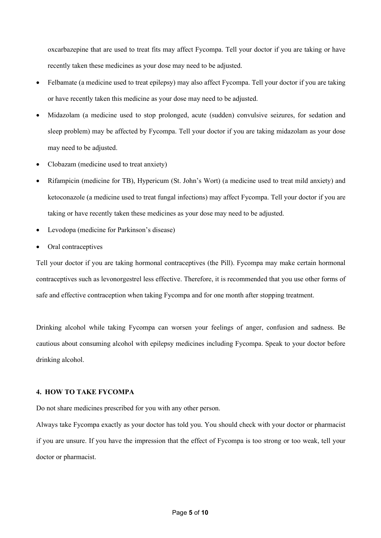oxcarbazepine that are used to treat fits may affect Fycompa. Tell your doctor if you are taking or have recently taken these medicines as your dose may need to be adjusted.

- Felbamate (a medicine used to treat epilepsy) may also affect Fycompa. Tell your doctor if you are taking or have recently taken this medicine as your dose may need to be adjusted.
- Midazolam (a medicine used to stop prolonged, acute (sudden) convulsive seizures, for sedation and sleep problem) may be affected by Fycompa. Tell your doctor if you are taking midazolam as your dose may need to be adjusted.
- Clobazam (medicine used to treat anxiety)
- Rifampicin (medicine for TB), Hypericum (St. John's Wort) (a medicine used to treat mild anxiety) and ketoconazole (a medicine used to treat fungal infections) may affect Fycompa. Tell your doctor if you are taking or have recently taken these medicines as your dose may need to be adjusted.
- Levodopa (medicine for Parkinson's disease)
- Oral contraceptives

Tell your doctor if you are taking hormonal contraceptives (the Pill). Fycompa may make certain hormonal contraceptives such as levonorgestrel less effective. Therefore, it is recommended that you use other forms of safe and effective contraception when taking Fycompa and for one month after stopping treatment.

Drinking alcohol while taking Fycompa can worsen your feelings of anger, confusion and sadness. Be cautious about consuming alcohol with epilepsy medicines including Fycompa. Speak to your doctor before drinking alcohol.

# **4. HOW TO TAKE FYCOMPA**

Do not share medicines prescribed for you with any other person.

Always take Fycompa exactly as your doctor has told you. You should check with your doctor or pharmacist if you are unsure. If you have the impression that the effect of Fycompa is too strong or too weak, tell your doctor or pharmacist.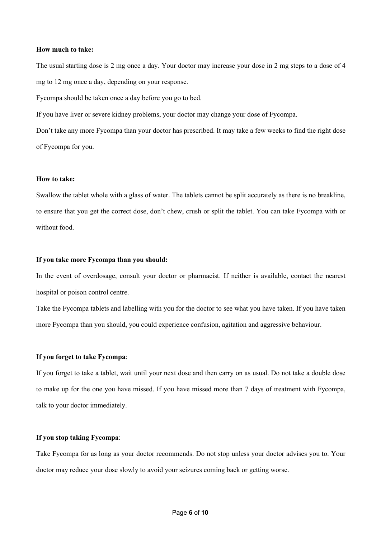#### **How much to take:**

The usual starting dose is 2 mg once a day. Your doctor may increase your dose in 2 mg steps to a dose of 4 mg to 12 mg once a day, depending on your response.

Fycompa should be taken once a day before you go to bed.

If you have liver or severe kidney problems, your doctor may change your dose of Fycompa.

Don't take any more Fycompa than your doctor has prescribed. It may take a few weeks to find the right dose of Fycompa for you.

#### **How to take:**

Swallow the tablet whole with a glass of water. The tablets cannot be split accurately as there is no breakline, to ensure that you get the correct dose, don't chew, crush or split the tablet. You can take Fycompa with or without food.

#### **If you take more Fycompa than you should:**

In the event of overdosage, consult your doctor or pharmacist. If neither is available, contact the nearest hospital or poison control centre.

Take the Fycompa tablets and labelling with you for the doctor to see what you have taken. If you have taken more Fycompa than you should, you could experience confusion, agitation and aggressive behaviour.

#### **If you forget to take Fycompa**:

If you forget to take a tablet, wait until your next dose and then carry on as usual. Do not take a double dose to make up for the one you have missed. If you have missed more than 7 days of treatment with Fycompa, talk to your doctor immediately.

## **If you stop taking Fycompa**:

Take Fycompa for as long as your doctor recommends. Do not stop unless your doctor advises you to. Your doctor may reduce your dose slowly to avoid your seizures coming back or getting worse.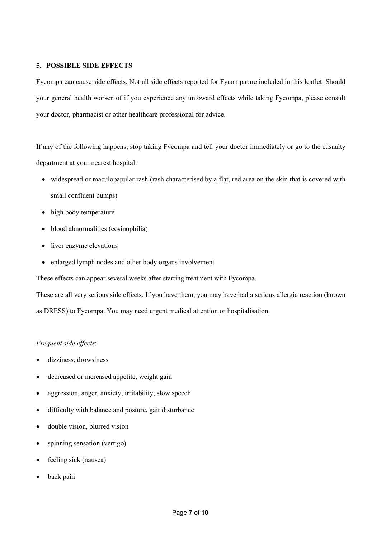## **5. POSSIBLE SIDE EFFECTS**

Fycompa can cause side effects. Not all side effects reported for Fycompa are included in this leaflet. Should your general health worsen of if you experience any untoward effects while taking Fycompa, please consult your doctor, pharmacist or other healthcare professional for advice.

If any of the following happens, stop taking Fycompa and tell your doctor immediately or go to the casualty department at your nearest hospital:

- widespread or maculopapular rash [\(rash](https://en.wikipedia.org/wiki/Rash) characterised by a flat, red area on the skin that is covered with small confluent bumps)
- high body temperature
- blood abnormalities (eosinophilia)
- liver enzyme elevations
- enlarged lymph nodes and other body organs involvement

These effects can appear several weeks after starting treatment with Fycompa.

These are all very serious side effects. If you have them, you may have had a serious allergic reaction (known as DRESS) to Fycompa. You may need urgent medical attention or hospitalisation.

# *Frequent side effects*:

- dizziness, drowsiness
- decreased or increased appetite, weight gain
- aggression, anger, anxiety, irritability, slow speech
- difficulty with balance and posture, gait disturbance
- double vision, blurred vision
- spinning sensation (vertigo)
- feeling sick (nausea)
- back pain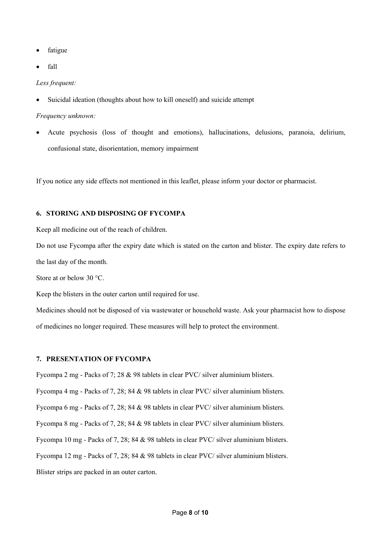- fatigue
- fall

*Less frequent:*

Suicidal ideation (thoughts about how to kill oneself) and suicide attempt

#### *Frequency unknown:*

• Acute psychosis (loss of thought and emotions), hallucinations, delusions, paranoia, delirium, confusional state, disorientation, memory impairment

If you notice any side effects not mentioned in this leaflet, please inform your doctor or pharmacist.

# **6. STORING AND DISPOSING OF FYCOMPA**

Keep all medicine out of the reach of children.

Do not use Fycompa after the expiry date which is stated on the carton and blister. The expiry date refers to the last day of the month.

Store at or below 30 °C.

Keep the blisters in the outer carton until required for use.

Medicines should not be disposed of via wastewater or household waste. Ask your pharmacist how to dispose of medicines no longer required. These measures will help to protect the environment.

#### **7. PRESENTATION OF FYCOMPA**

Fycompa 2 mg - Packs of 7; 28 & 98 tablets in clear PVC/ silver aluminium blisters. Fycompa 4 mg - Packs of 7, 28; 84 & 98 tablets in clear PVC/ silver aluminium blisters. Fycompa 6 mg - Packs of 7, 28; 84 & 98 tablets in clear PVC/ silver aluminium blisters. Fycompa 8 mg - Packs of 7, 28; 84 & 98 tablets in clear PVC/ silver aluminium blisters. Fycompa 10 mg - Packs of 7, 28; 84 & 98 tablets in clear PVC/ silver aluminium blisters. Fycompa 12 mg - Packs of 7, 28; 84 & 98 tablets in clear PVC/ silver aluminium blisters. Blister strips are packed in an outer carton.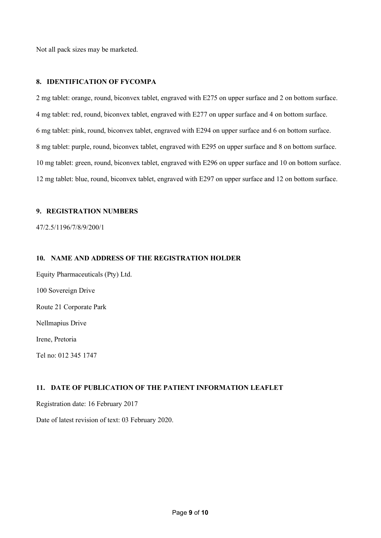Not all pack sizes may be marketed.

# **8. IDENTIFICATION OF FYCOMPA**

2 mg tablet: orange, round, biconvex tablet, engraved with E275 on upper surface and 2 on bottom surface. 4 mg tablet: red, round, biconvex tablet, engraved with E277 on upper surface and 4 on bottom surface. 6 mg tablet: pink, round, biconvex tablet, engraved with E294 on upper surface and 6 on bottom surface. 8 mg tablet: purple, round, biconvex tablet, engraved with E295 on upper surface and 8 on bottom surface. 10 mg tablet: green, round, biconvex tablet, engraved with E296 on upper surface and 10 on bottom surface. 12 mg tablet: blue, round, biconvex tablet, engraved with E297 on upper surface and 12 on bottom surface.

# **9. REGISTRATION NUMBERS**

47/2.5/1196/7/8/9/200/1

# **10. NAME AND ADDRESS OF THE REGISTRATION HOLDER**

Equity Pharmaceuticals (Pty) Ltd. 100 Sovereign Drive Route 21 Corporate Park Nellmapius Drive Irene, Pretoria

Tel no: 012 345 1747

# **11. DATE OF PUBLICATION OF THE PATIENT INFORMATION LEAFLET**

Registration date: 16 February 2017

Date of latest revision of text: 03 February 2020.